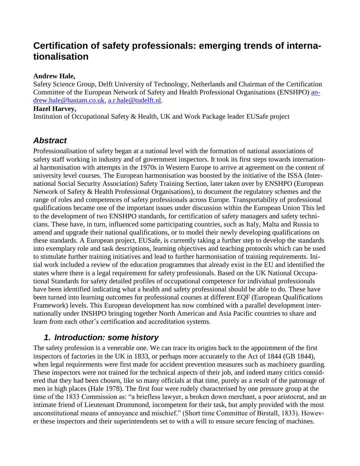# **Certification of safety professionals: emerging trends of internationalisation**

## **Andrew Hale,**

Safety Science Group, Delft University of Technology, Netherlands and Chairman of the Certification Committee of the European Network of Safety and Health Professional Organisations (ENSHPO) [an](mailto:andrew.hale@hastam.co.uk)[drew.hale@hastam.co.uk,](mailto:andrew.hale@hastam.co.uk) [a.r.hale@tudelft.nl](mailto:a.r.hale@tudelft.nl)*.*

## **Hazel Harvey,**

Institution of Occupational Safety & Health, UK and Work Package leader EUSafe project

## *Abstract*

Professionalisation of safety began at a national level with the formation of national associations of safety staff working in industry and of government inspectors. It took its first steps towards international harmonisation with attempts in the 1970s in Western Europe to arrive at agreement on the content of university level courses. The European harmonisation was boosted by the initiative of the ISSA (International Social Security Association) Safety Training Section, later taken over by ENSHPO (European Network of Safety & Health Professional Organisations), to document the regulatory schemes and the range of roles and competences of safety professionals across Europe. Transportability of professional qualifications became one of the important issues under discussion within the European Union This led to the development of two ENSHPO standards, for certification of safety managers and safety technicians. These have, in turn, influenced some participating countries, such as Italy, Malta and Russia to amend and upgrade their national qualifications, or to model their newly developing qualifications on these standards. A European project, EUSafe, is currently taking a further step to develop the standards into exemplary role and task descriptions, learning objectives and teaching protocols which can be used to stimulate further training initiatives and lead to further harmonisation of training requirements. Initial work included a review of the education programmes that already exist in the EU and identified the states where there is a legal requirement for safety professionals. Based on the UK National Occupational Standards for safety detailed profiles of occupational competence for individual professionals have been identified indicating what a health and safety professional should be able to do. These have been turned into learning outcomes for professional courses at different EQF (European Qualifications Framework) levels. This European development has now combined with a parallel development internationally under INSHPO bringing together North American and Asia Pacific countries to share and learn from each other's certification and accreditation systems.

## *1. Introduction: some history*

The safety profession is a venerable one. We can trace its origins back to the appointment of the first inspectors of factories in the UK in 1833, or perhaps more accurately to the Act of 1844 (GB 1844), when legal requirements were first made for accident prevention measures such as machinery guarding. These inspectors were not trained for the technical aspects of their job, and indeed many critics considered that they had been chosen, like so many officials at that time, purely as a result of the patronage of men in high places (Hale 1978). The first four were rudely characterised by one pressure group at the time of the 1833 Commission as: "a briefless lawyer, a broken down merchant, a poor aristocrat, and an intimate friend of Lieutenant Drummond, incompetent for their task, but amply provided with the most unconstitutional means of annoyance and mischief." (Short time Committee of Birstall, 1833). However these inspectors and their superintendents set to with a will to ensure secure fencing of machines.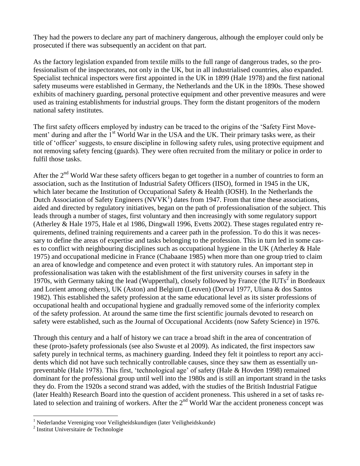They had the powers to declare any part of machinery dangerous, although the employer could only be prosecuted if there was subsequently an accident on that part.

As the factory legislation expanded from textile mills to the full range of dangerous trades, so the professionalism of the inspectorates, not only in the UK, but in all industrialised countries, also expanded. Specialist technical inspectors were first appointed in the UK in 1899 (Hale 1978) and the first national safety museums were established in Germany, the Netherlands and the UK in the 1890s. These showed exhibits of machinery guarding, personal protective equipment and other preventive measures and were used as training establishments for industrial groups. They form the distant progenitors of the modern national safety institutes.

The first safety officers employed by industry can be traced to the origins of the 'Safety First Movement' during and after the 1<sup>st</sup> World War in the USA and the UK. Their primary tasks were, as their title of 'officer' suggests, to ensure discipline in following safety rules, using protective equipment and not removing safety fencing (guards). They were often recruited from the military or police in order to fulfil those tasks.

After the 2<sup>nd</sup> World War these safety officers began to get together in a number of countries to form an association, such as the Institution of Industrial Safety Officers (IISO), formed in 1945 in the UK, which later became the Institution of Occupational Safety & Health (IOSH). In the Netherlands the Dutch Association of Safety Engineers ( $\overline{N}V\overline{V}K^{1}$ ) dates from 1947. From that time these associations, aided and directed by regulatory initiatives, began on the path of professionalisation of the subject. This leads through a number of stages, first voluntary and then increasingly with some regulatory support (Atherley & Hale 1975, Hale et al 1986, Dingwall 1996, Evetts 2002). These stages regulated entry requirements, defined training requirements and a career path in the profession. To do this it was necessary to define the areas of expertise and tasks belonging to the profession. This in turn led in some cases to conflict with neighbouring disciplines such as occupational hygiene in the UK (Atherley & Hale 1975) and occupational medicine in France (Chabaane 1985) when more than one group tried to claim an area of knowledge and competence and even protect it with statutory rules. An important step in professionalisation was taken with the establishment of the first university courses in safety in the 1970s, with Germany taking the lead (Wupperthal), closely followed by France (the IUTs<sup>2</sup> in Bordeaux and Lorient among others), UK (Aston) and Belgium (Leuven) (Dorval 1977, Uliana & dos Santos 1982). This established the safety profession at the same educational level as its sister professions of occupational health and occupational hygiene and gradually removed some of the inferiority complex of the safety profession. At around the same time the first scientific journals devoted to research on safety were established, such as the Journal of Occupational Accidents (now Safety Science) in 1976.

Through this century and a half of history we can trace a broad shift in the area of concentration of these (proto-)safety professionals (see also Swuste et al 2009). As indicated, the first inspectors saw safety purely in technical terms, as machinery guarding. Indeed they felt it pointless to report any accidents which did not have such technically controllable causes, since they saw them as essentially unpreventable (Hale 1978). This first, 'technological age' of safety (Hale & Hovden 1998) remained dominant for the professional group until well into the 1980s and is still an important strand in the tasks they do. From the 1920s a second strand was added, with the studies of the British Industrial Fatigue (later Health) Research Board into the question of accident proneness. This ushered in a set of tasks related to selection and training of workers. After the  $2<sup>nd</sup>$  World War the accident proneness concept was

 $\overline{a}$ 

<sup>&</sup>lt;sup>1</sup> Nederlandse Vereniging voor Veiligheidskundigen (later Veiligheidskunde)

<sup>2</sup> Institut Universitaire de Technologie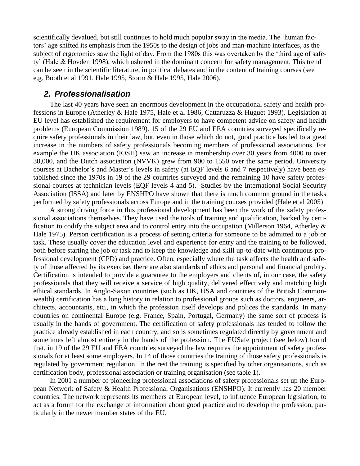scientifically devalued, but still continues to hold much popular sway in the media. The 'human factors' age shifted its emphasis from the 1950s to the design of jobs and man-machine interfaces, as the subject of ergonomics saw the light of day. From the 1980s this was overtaken by the 'third age of safety' (Hale & Hovden 1998), which ushered in the dominant concern for safety management. This trend can be seen in the scientific literature, in political debates and in the content of training courses (see e.g. Booth et al 1991, Hale 1995, Storm & Hale 1995, Hale 2006).

## *2. Professionalisation*

The last 40 years have seen an enormous development in the occupational safety and health professions in Europe (Atherley & Hale 1975, Hale et al 1986, Cattaruzza & Huguet 1993). Legislation at EU level has established the requirement for employers to have competent advice on safety and health problems (European Commission 1989). 15 of the 29 EU and EEA countries surveyed specifically require safety professionals in their law, but, even in those which do not, good practice has led to a great increase in the numbers of safety professionals becoming members of professional associations. For example the UK association (IOSH) saw an increase in membership over 30 years from 4000 to over 30,000, and the Dutch association (NVVK) grew from 900 to 1550 over the same period. University courses at Bachelor's and Master's levels in safety (at EQF levels 6 and 7 respectively) have been established since the 1970s in 19 of the 29 countries surveyed and the remaining 10 have safety professional courses at technician levels (EQF levels 4 and 5). Studies by the International Social Security Association (ISSA) and later by ENSHPO have shown that there is much common ground in the tasks performed by safety professionals across Europe and in the training courses provided (Hale et al 2005)

A strong driving force in this professional development has been the work of the safety professional associations themselves. They have used the tools of training and qualification, backed by certification to codify the subject area and to control entry into the occupation (Millerson 1964, Atherley & Hale 1975). Person certification is a process of setting criteria for someone to be admitted to a job or task. These usually cover the education level and experience for entry and the training to be followed, both before starting the job or task and to keep the knowledge and skill up-to-date with continuous professional development (CPD) and practice. Often, especially where the task affects the health and safety of those affected by its exercise, there are also standards of ethics and personal and financial probity. Certification is intended to provide a guarantee to the employers and clients of, in our case, the safety professionals that they will receive a service of high quality, delivered effectively and matching high ethical standards. In Anglo-Saxon countries (such as UK, USA and countries of the British Commonwealth) certification has a long history in relation to professional groups such as doctors, engineers, architects, accountants, etc., in which the profession itself develops and polices the standards. In many countries on continental Europe (e.g. France, Spain, Portugal, Germany) the same sort of process is usually in the hands of government. The certification of safety professionals has tended to follow the practice already established in each country, and so is sometimes regulated directly by government and sometimes left almost entirely in the hands of the profession. The EUSafe project (see below) found that, in 19 of the 29 EU and EEA countries surveyed the law requires the appointment of safety professionals for at least some employers. In 14 of those countries the training of those safety professionals is regulated by government regulation. In the rest the training is specified by other organisations, such as certification body, professional association or training organisation (see table 1).

In 2001 a number of pioneering professional associations of safety professionals set up the European Network of Safety & Health Professional Organisations (ENSHPO). It currently has 20 member countries. The network represents its members at European level, to influence European legislation, to act as a forum for the exchange of information about good practice and to develop the profession, particularly in the newer member states of the EU.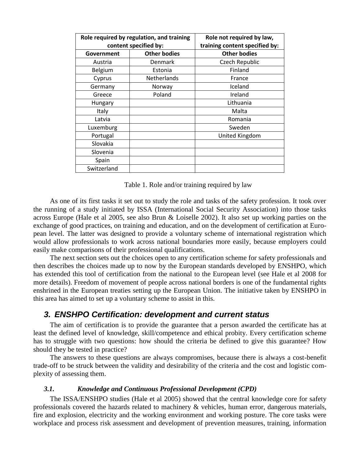| Role required by regulation, and training |                     | Role not required by law,      |
|-------------------------------------------|---------------------|--------------------------------|
| content specified by:                     |                     | training content specified by: |
| Government                                | <b>Other bodies</b> | <b>Other bodies</b>            |
| Austria                                   | <b>Denmark</b>      | Czech Republic                 |
| Belgium                                   | Estonia             | Finland                        |
| Cyprus                                    | Netherlands         | France                         |
| Germany                                   | Norway              | Iceland                        |
| Greece                                    | Poland              | Ireland                        |
| Hungary                                   |                     | Lithuania                      |
| Italy                                     |                     | Malta                          |
| Latvia                                    |                     | Romania                        |
| Luxemburg                                 |                     | Sweden                         |
| Portugal                                  |                     | United Kingdom                 |
| Slovakia                                  |                     |                                |
| Slovenia                                  |                     |                                |
| Spain                                     |                     |                                |
| Switzerland                               |                     |                                |

Table 1. Role and/or training required by law

As one of its first tasks it set out to study the role and tasks of the safety profession. It took over the running of a study initiated by ISSA (International Social Security Association) into those tasks across Europe (Hale et al 2005, see also Brun & Loiselle 2002). It also set up working parties on the exchange of good practices, on training and education, and on the development of certification at European level. The latter was designed to provide a voluntary scheme of international registration which would allow professionals to work across national boundaries more easily, because employers could easily make comparisons of their professional qualifications.

The next section sets out the choices open to any certification scheme for safety professionals and then describes the choices made up to now by the European standards developed by ENSHPO, which has extended this tool of certification from the national to the European level (see Hale et al 2008 for more details). Freedom of movement of people across national borders is one of the fundamental rights enshrined in the European treaties setting up the European Union. The initiative taken by ENSHPO in this area has aimed to set up a voluntary scheme to assist in this.

## *3. ENSHPO Certification: development and current status*

The aim of certification is to provide the guarantee that a person awarded the certificate has at least the defined level of knowledge, skill/competence and ethical probity. Every certification scheme has to struggle with two questions: how should the criteria be defined to give this guarantee? How should they be tested in practice?

The answers to these questions are always compromises, because there is always a cost-benefit trade-off to be struck between the validity and desirability of the criteria and the cost and logistic complexity of assessing them.

#### *3.1. Knowledge and Continuous Professional Development (CPD)*

The ISSA/ENSHPO studies (Hale et al 2005) showed that the central knowledge core for safety professionals covered the hazards related to machinery & vehicles, human error, dangerous materials, fire and explosion, electricity and the working environment and working posture. The core tasks were workplace and process risk assessment and development of prevention measures, training, information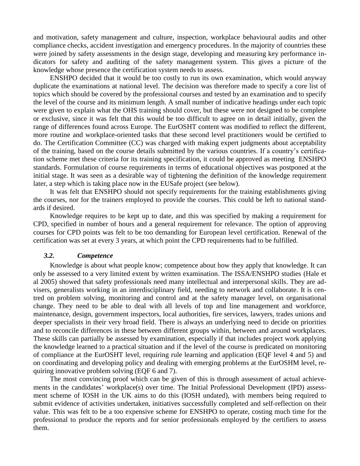and motivation, safety management and culture, inspection, workplace behavioural audits and other compliance checks, accident investigation and emergency procedures. In the majority of countries these were joined by safety assessments in the design stage, developing and measuring key performance indicators for safety and auditing of the safety management system. This gives a picture of the knowledge whose presence the certification system needs to assess.

ENSHPO decided that it would be too costly to run its own examination, which would anyway duplicate the examinations at national level. The decision was therefore made to specify a core list of topics which should be covered by the professional courses and tested by an examination and to specify the level of the course and its minimum length. A small number of indicative headings under each topic were given to explain what the OHS training should cover, but these were not designed to be complete or exclusive, since it was felt that this would be too difficult to agree on in detail initially, given the range of differences found across Europe. The EurOSHT content was modified to reflect the different, more routine and workplace-oriented tasks that these second level practitioners would be certified to do. The Certification Committee (CC) was charged with making expert judgments about acceptability of the training, based on the course details submitted by the various countries. If a country's certification scheme met these criteria for its training specification, it could be approved as meeting ENSHPO standards. Formulation of course requirements in terms of educational objectives was postponed at the initial stage. It was seen as a desirable way of tightening the definition of the knowledge requirement later, a step which is taking place now in the EUSafe project (see below).

It was felt that ENSHPO should not specify requirements for the training establishments giving the courses, nor for the trainers employed to provide the courses. This could be left to national standards if desired.

Knowledge requires to be kept up to date, and this was specified by making a requirement for CPD, specified in number of hours and a general requirement for relevance. The option of approving courses for CPD points was felt to be too demanding for European level certification. Renewal of the certification was set at every 3 years, at which point the CPD requirements had to be fulfilled.

### *3.2. Competence*

Knowledge is about what people know; competence about how they apply that knowledge. It can only be assessed to a very limited extent by written examination. The ISSA/ENSHPO studies (Hale et al 2005) showed that safety professionals need many intellectual and interpersonal skills. They are advisers, generalists working in an interdisciplinary field, needing to network and collaborate. It is centred on problem solving, monitoring and control and at the safety manager level, on organisational change. They need to be able to deal with all levels of top and line management and workforce, maintenance, design, government inspectors, local authorities, fire services, lawyers, trades unions and deeper specialists in their very broad field. There is always an underlying need to decide on priorities and to reconcile differences in these between different groups within, between and around workplaces. These skills can partially be assessed by examination, especially if that includes project work applying the knowledge learned to a practical situation and if the level of the course is predicated on monitoring of compliance at the EurOSHT level, requiring rule learning and application (EQF level 4 and 5) and on coordinating and developing policy and dealing with emerging problems at the EurOSHM level, requiring innovative problem solving (EQF 6 and 7).

The most convincing proof which can be given of this is through assessment of actual achievements in the candidates' workplace(s) over time. The Initial Professional Development (IPD) assessment scheme of IOSH in the UK aims to do this (IOSH undated), with members being required to submit evidence of activities undertaken, initiatives successfully completed and self-reflection on their value. This was felt to be a too expensive scheme for ENSHPO to operate, costing much time for the professional to produce the reports and for senior professionals employed by the certifiers to assess them.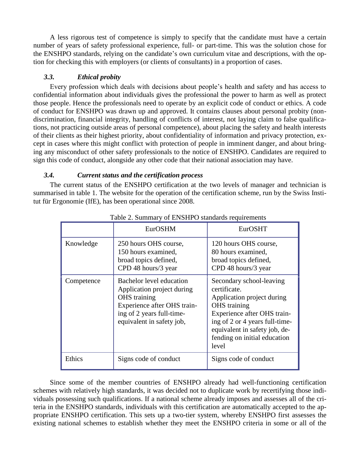A less rigorous test of competence is simply to specify that the candidate must have a certain number of years of safety professional experience, full- or part-time. This was the solution chose for the ENSHPO standards, relying on the candidate's own curriculum vitae and descriptions, with the option for checking this with employers (or clients of consultants) in a proportion of cases.

## *3.3. Ethical probity*

Every profession which deals with decisions about people's health and safety and has access to confidential information about individuals gives the professional the power to harm as well as protect those people. Hence the professionals need to operate by an explicit code of conduct or ethics. A code of conduct for ENSHPO was drawn up and approved. It contains clauses about personal probity (nondiscrimination, financial integrity, handling of conflicts of interest, not laying claim to false qualifications, not practicing outside areas of personal competence), about placing the safety and health interests of their clients as their highest priority, about confidentiality of information and privacy protection, except in cases where this might conflict with protection of people in imminent danger, and about bringing any misconduct of other safety professionals to the notice of ENSHPO. Candidates are required to sign this code of conduct, alongside any other code that their national association may have.

## *3.4. Current status and the certification process*

The current status of the ENSHPO certification at the two levels of manager and technician is summarised in table 1. The website for the operation of the certification scheme, run by the Swiss Institut für Ergonomie (IfE), has been operational since 2008.

| raore 2. Banninary or 21 torn & banning requirements |                                                                                                                                                                        |                                                                                                                                                                                                                                          |  |
|------------------------------------------------------|------------------------------------------------------------------------------------------------------------------------------------------------------------------------|------------------------------------------------------------------------------------------------------------------------------------------------------------------------------------------------------------------------------------------|--|
|                                                      | <b>EurOSHM</b>                                                                                                                                                         | EurOSHT                                                                                                                                                                                                                                  |  |
| Knowledge                                            | 250 hours OHS course,<br>150 hours examined,<br>broad topics defined,<br>CPD 48 hours/3 year                                                                           | 120 hours OHS course,<br>80 hours examined,<br>broad topics defined,<br>CPD 48 hours/3 year                                                                                                                                              |  |
| Competence                                           | <b>Bachelor</b> level education<br>Application project during<br>OHS training<br>Experience after OHS train-<br>ing of 2 years full-time-<br>equivalent in safety job, | Secondary school-leaving<br>certificate.<br>Application project during<br><b>OHS</b> training<br>Experience after OHS train-<br>ing of 2 or 4 years full-time-<br>equivalent in safety job, de-<br>fending on initial education<br>level |  |
| Ethics                                               | Signs code of conduct                                                                                                                                                  | Signs code of conduct                                                                                                                                                                                                                    |  |

Table 2. Summary of ENSHPO standards requirements

Since some of the member countries of ENSHPO already had well-functioning certification schemes with relatively high standards, it was decided not to duplicate work by recertifying those individuals possessing such qualifications. If a national scheme already imposes and assesses all of the criteria in the ENSHPO standards, individuals with this certification are automatically accepted to the appropriate ENSHPO certification. This sets up a two-tier system, whereby ENSHPO first assesses the existing national schemes to establish whether they meet the ENSHPO criteria in some or all of the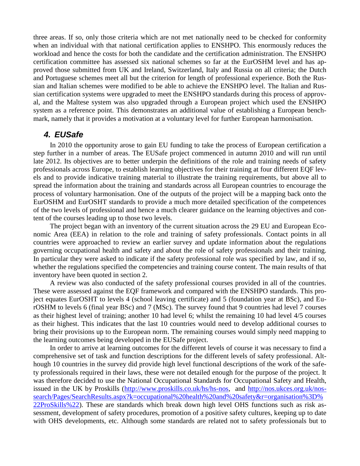three areas. If so, only those criteria which are not met nationally need to be checked for conformity when an individual with that national certification applies to ENSHPO. This enormously reduces the workload and hence the costs for both the candidate and the certification administration. The ENSHPO certification committee has assessed six national schemes so far at the EurOSHM level and has approved those submitted from UK and Ireland, Switzerland, Italy and Russia on all criteria; the Dutch and Portuguese schemes meet all but the criterion for length of professional experience. Both the Russian and Italian schemes were modified to be able to achieve the ENSHPO level. The Italian and Russian certification systems were upgraded to meet the ENSHPO standards during this process of approval, and the Maltese system was also upgraded through a European project which used the ENSHPO system as a reference point. This demonstrates an additional value of establishing a European benchmark, namely that it provides a motivation at a voluntary level for further European harmonisation.

## *4. EUSafe*

In 2010 the opportunity arose to gain EU funding to take the process of European certification a step further in a number of areas. The EUSafe project commenced in autumn 2010 and will run until late 2012. Its objectives are to better underpin the definitions of the role and training needs of safety professionals across Europe, to establish learning objectives for their training at four different EQF levels and to provide indicative training material to illustrate the training requirements, but above all to spread the information about the training and standards across all European countries to encourage the process of voluntary harmonisation. One of the outputs of the project will be a mapping back onto the EurOSHM and EurOSHT standards to provide a much more detailed specification of the competences of the two levels of professional and hence a much clearer guidance on the learning objectives and content of the courses leading up to those two levels.

The project began with an inventory of the current situation across the 29 EU and European Economic Area (EEA) in relation to the role and training of safety professionals. Contact points in all countries were approached to review an earlier survey and update information about the regulations governing occupational health and safety and about the role of safety professionals and their training. In particular they were asked to indicate if the safety professional role was specified by law, and if so, whether the regulations specified the competencies and training course content. The main results of that inventory have been quoted in section 2.

A review was also conducted of the safety professional courses provided in all of the countries. These were assessed against the EQF framework and compared with the ENSHPO standards. This project equates EurOSHT to levels 4 (school leaving certificate) and 5 (foundation year at BSc), and EurOSHM to levels 6 (final year BSc) and 7 (MSc). The survey found that 9 countries had level 7 courses as their highest level of training; another 10 had level 6; whilst the remaining 10 had level 4/5 courses as their highest. This indicates that the last 10 countries would need to develop additional courses to bring their provisions up to the European norm. The remaining courses would simply need mapping to the learning outcomes being developed in the EUSafe project.

In order to arrive at learning outcomes for the different levels of course it was necessary to find a comprehensive set of task and function descriptions for the different levels of safety professional. Although 10 countries in the survey did provide high level functional descriptions of the work of the safety professionals required in their laws, these were not detailed enough for the purpose of the project. It was therefore decided to use the National Occupational Standards for Occupational Safety and Health, issued in the UK by Proskills [\(http://www.proskills.co.uk/hs/hs-nos,](http://www.proskills.co.uk/hs/hs-nos) and [http://nos.ukces.org.uk/nos](http://nos.ukces.org.uk/nos-search/Pages/SearchResults.aspx?k=occupational%20health%20and%20safety&r=organisation%3D%22ProSkills%22)[search/Pages/SearchResults.aspx?k=occupational%20health%20and%20safety&r=organisation%3D%](http://nos.ukces.org.uk/nos-search/Pages/SearchResults.aspx?k=occupational%20health%20and%20safety&r=organisation%3D%22ProSkills%22) [22ProSkills%22\)](http://nos.ukces.org.uk/nos-search/Pages/SearchResults.aspx?k=occupational%20health%20and%20safety&r=organisation%3D%22ProSkills%22). These are standards which break down high level OHS functions such as risk assessment, development of safety procedures, promotion of a positive safety cultures, keeping up to date with OHS developments, etc. Although some standards are related not to safety professionals but to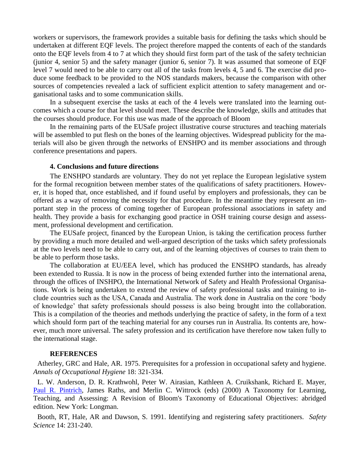workers or supervisors, the framework provides a suitable basis for defining the tasks which should be undertaken at different EQF levels. The project therefore mapped the contents of each of the standards onto the EQF levels from 4 to 7 at which they should first form part of the task of the safety technician (junior 4, senior 5) and the safety manager (junior 6, senior 7). It was assumed that someone of EQF level 7 would need to be able to carry out all of the tasks from levels 4, 5 and 6. The exercise did produce some feedback to be provided to the NOS standards makers, because the comparison with other sources of competencies revealed a lack of sufficient explicit attention to safety management and organisational tasks and to some communication skills.

In a subsequent exercise the tasks at each of the 4 levels were translated into the learning outcomes which a course for that level should meet. These describe the knowledge, skills and attitudes that the courses should produce. For this use was made of the approach of Bloom

In the remaining parts of the EUSafe project illustrative course structures and teaching materials will be assembled to put flesh on the bones of the learning objectives. Widespread publicity for the materials will also be given through the networks of ENSHPO and its member associations and through conference presentations and papers.

#### **4. Conclusions and future directions**

The ENSHPO standards are voluntary. They do not yet replace the European legislative system for the formal recognition between member states of the qualifications of safety practitioners. However, it is hoped that, once established, and if found useful by employers and professionals, they can be offered as a way of removing the necessity for that procedure. In the meantime they represent an important step in the process of coming together of European professional associations in safety and health. They provide a basis for exchanging good practice in OSH training course design and assessment, professional development and certification.

The EUSafe project, financed by the European Union, is taking the certification process further by providing a much more detailed and well-argued description of the tasks which safety professionals at the two levels need to be able to carry out, and of the learning objectives of courses to train them to be able to perform those tasks.

The collaboration at EU/EEA level, which has produced the ENSHPO standards, has already been extended to Russia. It is now in the process of being extended further into the international arena, through the offices of INSHPO, the International Network of Safety and Health Professional Organisations. Work is being undertaken to extend the review of safety professional tasks and training to include countries such as the USA, Canada and Australia. The work done in Australia on the core 'body of knowledge' that safety professionals should possess is also being brought into the collaboration. This is a compilation of the theories and methods underlying the practice of safety, in the form of a text which should form part of the teaching material for any courses run in Australia. Its contents are, however, much more universal. The safety profession and its certification have therefore now taken fully to the international stage.

#### **REFERENCES**

Atherley, GRC and Hale, AR. 1975. Prerequisites for a profession in occupational safety and hygiene. *Annals of Occupational Hygiene* 18: 321-334.

L. W. Anderson, D. R. Krathwohl, Peter W. Airasian, Kathleen A. Cruikshank, Richard E. Mayer, [Paul R. Pintrich,](http://en.wikipedia.org/wiki/Paul_Pintrich) James Raths, and Merlin C. Wittrock (eds) (2000) A Taxonomy for Learning, Teaching, and Assessing: A Revision of Bloom's Taxonomy of Educational Objectives: abridged edition. New York: Longman.

Booth, RT, Hale, AR and Dawson, S. 1991. Identifying and registering safety practitioners. *Safety Science* 14: 231-240.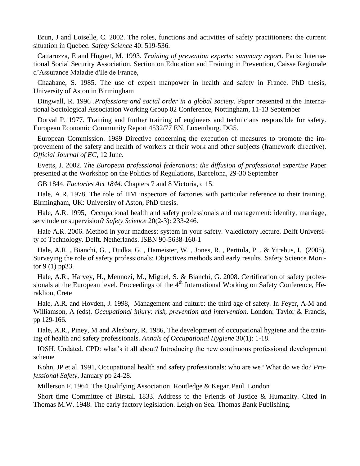Brun, J and Loiselle, C. 2002. The roles, functions and activities of safety practitioners: the current situation in Quebec. *Safety Science* 40: 519-536.

Cattaruzza, E and Huguet, M. 1993. *Training of prevention experts: summary report*. Paris: International Social Security Association, Section on Education and Training in Prevention, Caisse Regionale d'Assurance Maladie d'Ile de France,

Chaabane, S. 1985. The use of expert manpower in health and safety in France. PhD thesis, University of Aston in Birmingham

Dingwall, R. 1996 .*Professions and social order in a global society.* Paper presented at the International Sociological Association Working Group 02 Conference, Nottingham, 11-13 September

Dorval P. 1977. Training and further training of engineers and technicians responsible for safety. European Economic Community Report 4532/77 EN. Luxemburg. DG5.

European Commission. 1989 Directive concerning the execution of measures to promote the improvement of the safety and health of workers at their work and other subjects (framework directive). *Official Journal of EC*, 12 June.

Evetts, J. 2002. *The European professional federations: the diffusion of professional expertise* Paper presented at the Workshop on the Politics of Regulations, Barcelona, 29-30 September

GB 1844. *Factories Act 1844.* Chapters 7 and 8 Victoria, c 15.

Hale, A.R. 1978. The role of HM inspectors of factories with particular reference to their training. Birmingham, UK: University of Aston, PhD thesis.

Hale, A.R. 1995, Occupational health and safety professionals and management: identity, marriage, servitude or supervision? *Safety Science* 20(2-3): 233-246.

Hale A.R. 2006. Method in your madness: system in your safety. Valedictory lecture. Delft University of Technology. Delft. Netherlands. ISBN 90-5638-160-1

Hale, A.R. , Bianchi, G. , Dudka, G. , Hameister, W. , Jones, R. , Perttula, P. , & Ytrehus, I. (2005). Surveying the role of safety professionals: Objectives methods and early results. Safety Science Monitor 9 (1) pp33.

Hale, A.R., Harvey, H., Mennozi, M., Miguel, S. & Bianchi, G. 2008. Certification of safety professionals at the European level. Proceedings of the  $4<sup>th</sup>$  International Working on Safety Conference, Heraklion, Crete

Hale, A.R. and Hovden, J. 1998, Management and culture: the third age of safety. In Feyer, A-M and Williamson, A (eds). *Occupational injury: risk, prevention and intervention*. London: Taylor & Francis, pp 129-166.

Hale, A.R., Piney, M and Alesbury, R. 1986, The development of occupational hygiene and the training of health and safety professionals. *Annals of Occupational Hygiene* 30(1): 1-18.

IOSH. Undated. CPD: what's it all about? Introducing the new continuous professional development scheme

Kohn, JP et al. 1991, Occupational health and safety professionals: who are we? What do we do? *Professional Safety*, January pp 24-28.

Millerson F. 1964. The Qualifying Association. Routledge & Kegan Paul. London

Short time Committee of Birstal. 1833. Address to the Friends of Justice & Humanity. Cited in Thomas M.W. 1948. The early factory legislation. Leigh on Sea. Thomas Bank Publishing.